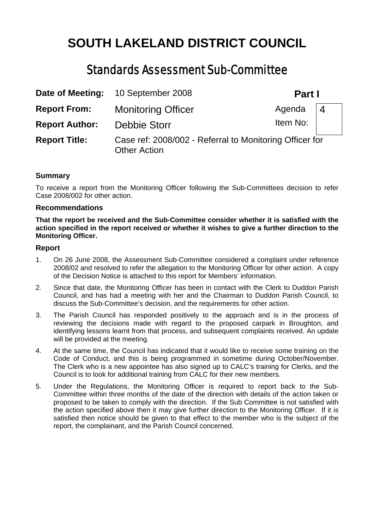# **SOUTH LAKELAND DISTRICT COUNCIL**

# Standards Assessment Sub-Committee

| Date of Meeting:      | 10 September 2008                                                              | <b>Part I</b> |  |
|-----------------------|--------------------------------------------------------------------------------|---------------|--|
| <b>Report From:</b>   | <b>Monitoring Officer</b>                                                      | Agenda        |  |
| <b>Report Author:</b> | Debbie Storr                                                                   | Item No:      |  |
| <b>Report Title:</b>  | Case ref: 2008/002 - Referral to Monitoring Officer for<br><b>Other Action</b> |               |  |

### **Summary**

To receive a report from the Monitoring Officer following the Sub-Committees decision to refer Case 2008/002 for other action.

#### **Recommendations**

**That the report be received and the Sub-Committee consider whether it is satisfied with the action specified in the report received or whether it wishes to give a further direction to the Monitoring Officer.** 

### **Report**

- 1. On 26 June 2008, the Assessment Sub-Committee considered a complaint under reference 2008/02 and resolved to refer the allegation to the Monitoring Officer for other action. A copy of the Decision Notice is attached to this report for Members' information.
- 2. Since that date, the Monitoring Officer has been in contact with the Clerk to Duddon Parish Council, and has had a meeting with her and the Chairman to Duddon Parish Council, to discuss the Sub-Committee's decision, and the requirements for other action.
- 3. The Parish Council has responded positively to the approach and is in the process of reviewing the decisions made with regard to the proposed carpark in Broughton, and identifying lessons learnt from that process, and subsequent complaints received. An update will be provided at the meeting.
- 4. At the same time, the Council has indicated that it would like to receive some training on the Code of Conduct, and this is being programmed in sometime during October/November. The Clerk who is a new appointee has also signed up to CALC's training for Clerks, and the Council is to look for additional training from CALC for their new members.
- 5. Under the Regulations, the Monitoring Officer is required to report back to the Sub-Committee within three months of the date of the direction with details of the action taken or proposed to be taken to comply with the direction. If the Sub Committee is not satisfied with the action specified above then it may give further direction to the Monitoring Officer. If it is satisfied then notice should be given to that effect to the member who is the subject of the report, the complainant, and the Parish Council concerned.